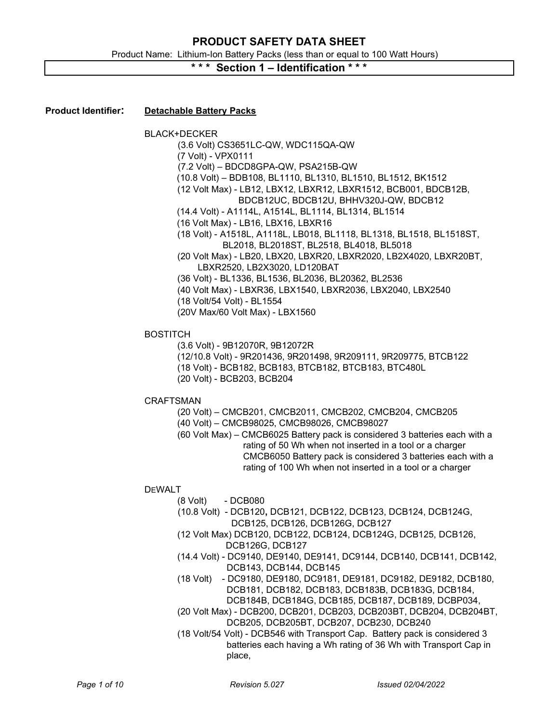# \* \* \* Section 1 – Identification \* \* \*

### Product Identifier: Detachable Battery Packs

|                 | <b>BLACK+DECKER</b><br>(3.6 Volt) CS3651LC-QW, WDC115QA-QW<br>(7 Volt) - VPX0111<br>(7.2 Volt) - BDCD8GPA-QW, PSA215B-QW<br>(10.8 Volt) - BDB108, BL1110, BL1310, BL1510, BL1512, BK1512<br>(12 Volt Max) - LB12, LBX12, LBXR12, LBXR1512, BCB001, BDCB12B,<br>BDCB12UC, BDCB12U, BHHV320J-QW, BDCB12<br>(14.4 Volt) - A1114L, A1514L, BL1114, BL1314, BL1514<br>(16 Volt Max) - LB16, LBX16, LBXR16<br>(18 Volt) - A1518L, A1118L, LB018, BL1118, BL1318, BL1518, BL1518ST,<br>BL2018, BL2018ST, BL2518, BL4018, BL5018<br>(20 Volt Max) - LB20, LBX20, LBXR20, LBXR2020, LB2X4020, LBXR20BT,<br>LBXR2520, LB2X3020, LD120BAT<br>(36 Volt) - BL1336, BL1536, BL2036, BL20362, BL2536<br>(40 Volt Max) - LBXR36, LBX1540, LBXR2036, LBX2040, LBX2540<br>(18 Volt/54 Volt) - BL1554<br>(20V Max/60 Volt Max) - LBX1560 |
|-----------------|-----------------------------------------------------------------------------------------------------------------------------------------------------------------------------------------------------------------------------------------------------------------------------------------------------------------------------------------------------------------------------------------------------------------------------------------------------------------------------------------------------------------------------------------------------------------------------------------------------------------------------------------------------------------------------------------------------------------------------------------------------------------------------------------------------------------------|
| <b>BOSTITCH</b> | (3.6 Volt) - 9B12070R, 9B12072R<br>(12/10.8 Volt) - 9R201436, 9R201498, 9R209111, 9R209775, BTCB122<br>(18 Volt) - BCB182, BCB183, BTCB182, BTCB183, BTC480L<br>(20 Volt) - BCB203, BCB204                                                                                                                                                                                                                                                                                                                                                                                                                                                                                                                                                                                                                            |
|                 | <b>CRAFTSMAN</b><br>(20 Volt) - CMCB201, CMCB2011, CMCB202, CMCB204, CMCB205<br>(40 Volt) - CMCB98025, CMCB98026, CMCB98027<br>(60 Volt Max) - CMCB6025 Battery pack is considered 3 batteries each with a<br>rating of 50 Wh when not inserted in a tool or a charger<br>CMCB6050 Battery pack is considered 3 batteries each with a<br>rating of 100 Wh when not inserted in a tool or a charger                                                                                                                                                                                                                                                                                                                                                                                                                    |
| <b>DEWALT</b>   | - DCB080<br>$(8 \text{ Volt})$<br>(10.8 Volt) - DCB120, DCB121, DCB122, DCB123, DCB124, DCB124G,<br>DCB125, DCB126, DCB126G, DCB127<br>(12 Volt Max) DCB120, DCB122, DCB124, DCB124G, DCB125, DCB126,<br>DCB126G, DCB127<br>(14.4 Volt) - DC9140, DE9140, DE9141, DC9144, DCB140, DCB141, DCB142,<br>DCB143, DCB144, DCB145<br>- DC9180, DE9180, DC9181, DE9181, DC9182, DE9182, DCB180,<br>(18 Volt)<br>DCB181, DCB182, DCB183, DCB183B, DCB183G, DCB184,<br>DCB184B, DCB184G, DCB185, DCB187, DCB189, DCBP034,<br>(20 Volt Max) - DCB200, DCB201, DCB203, DCB203BT, DCB204, DCB204BT,<br>DCB205, DCB205BT, DCB207, DCB230, DCB240<br>(18 Volt/54 Volt) - DCB546 with Transport Cap. Battery pack is considered 3<br>batteries each having a Wh rating of 36 Wh with Transport Cap in                                |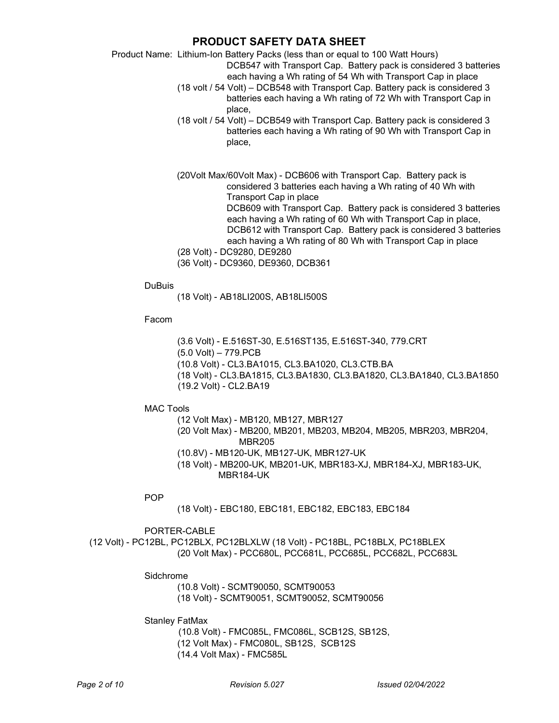Product Name: Lithium-Ion Battery Packs (less than or equal to 100 Watt Hours)

DCB547 with Transport Cap. Battery pack is considered 3 batteries each having a Wh rating of 54 Wh with Transport Cap in place

- (18 volt / 54 Volt) DCB548 with Transport Cap. Battery pack is considered 3 batteries each having a Wh rating of 72 Wh with Transport Cap in place,
- (18 volt / 54 Volt) DCB549 with Transport Cap. Battery pack is considered 3 batteries each having a Wh rating of 90 Wh with Transport Cap in place,

(20Volt Max/60Volt Max) - DCB606 with Transport Cap. Battery pack is considered 3 batteries each having a Wh rating of 40 Wh with Transport Cap in place DCB609 with Transport Cap. Battery pack is considered 3 batteries each having a Wh rating of 60 Wh with Transport Cap in place, DCB612 with Transport Cap. Battery pack is considered 3 batteries

each having a Wh rating of 80 Wh with Transport Cap in place

(28 Volt) - DC9280, DE9280

(36 Volt) - DC9360, DE9360, DCB361

**DuBuis** 

(18 Volt) - AB18LI200S, AB18LI500S

Facom

 (3.6 Volt) - E.516ST-30, E.516ST135, E.516ST-340, 779.CRT (5.0 Volt) – 779.PCB (10.8 Volt) - CL3.BA1015, CL3.BA1020, CL3.CTB.BA (18 Volt) - CL3.BA1815, CL3.BA1830, CL3.BA1820, CL3.BA1840, CL3.BA1850 (19.2 Volt) - CL2.BA19

MAC Tools

(12 Volt Max) - MB120, MB127, MBR127

- (20 Volt Max) MB200, MB201, MB203, MB204, MB205, MBR203, MBR204, MBR205
- (10.8V) MB120-UK, MB127-UK, MBR127-UK
- (18 Volt) MB200-UK, MB201-UK, MBR183-XJ, MBR184-XJ, MBR183-UK, MBR184-UK

POP

(18 Volt) - EBC180, EBC181, EBC182, EBC183, EBC184

PORTER-CABLE

(12 Volt) - PC12BL, PC12BLX, PC12BLXLW (18 Volt) - PC18BL, PC18BLX, PC18BLEX (20 Volt Max) - PCC680L, PCC681L, PCC685L, PCC682L, PCC683L

Sidchrome

(10.8 Volt) - SCMT90050, SCMT90053 (18 Volt) - SCMT90051, SCMT90052, SCMT90056

Stanley FatMax

 (10.8 Volt) - FMC085L, FMC086L, SCB12S, SB12S, (12 Volt Max) - FMC080L, SB12S, SCB12S (14.4 Volt Max) - FMC585L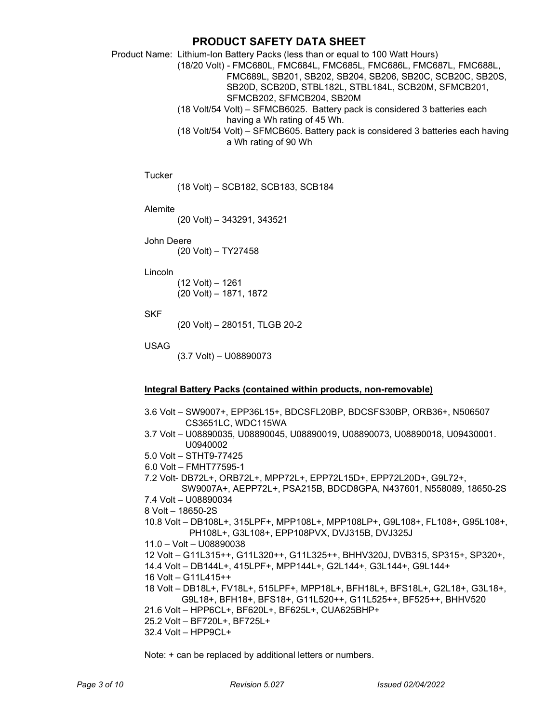Product Name: Lithium-Ion Battery Packs (less than or equal to 100 Watt Hours)

(18/20 Volt) - FMC680L, FMC684L, FMC685L, FMC686L, FMC687L, FMC688L, FMC689L, SB201, SB202, SB204, SB206, SB20C, SCB20C, SB20S, SB20D, SCB20D, STBL182L, STBL184L, SCB20M, SFMCB201, SFMCB202, SFMCB204, SB20M

- (18 Volt/54 Volt) SFMCB6025. Battery pack is considered 3 batteries each having a Wh rating of 45 Wh.
- (18 Volt/54 Volt) SFMCB605. Battery pack is considered 3 batteries each having a Wh rating of 90 Wh

**Tucker** 

(18 Volt) – SCB182, SCB183, SCB184

Alemite

(20 Volt) – 343291, 343521

John Deere

(20 Volt) – TY27458

Lincoln

(12 Volt) – 1261 (20 Volt) – 1871, 1872

SKF

(20 Volt) – 280151, TLGB 20-2

USAG

(3.7 Volt) – U08890073

### Integral Battery Packs (contained within products, non-removable)

3.6 Volt – SW9007+, EPP36L15+, BDCSFL20BP, BDCSFS30BP, ORB36+, N506507 CS3651LC, WDC115WA 3.7 Volt – U08890035, U08890045, U08890019, U08890073, U08890018, U09430001. U0940002 5.0 Volt – STHT9-77425 6.0 Volt – FMHT77595-1 7.2 Volt- DB72L+, ORB72L+, MPP72L+, EPP72L15D+, EPP72L20D+, G9L72+, SW9007A+, AEPP72L+, PSA215B, BDCD8GPA, N437601, N558089, 18650-2S 7.4 Volt – U08890034 8 Volt – 18650-2S 10.8 Volt – DB108L+, 315LPF+, MPP108L+, MPP108LP+, G9L108+, FL108+, G95L108+, PH108L+, G3L108+, EPP108PVX, DVJ315B, DVJ325J 11.0 – Volt – U08890038 12 Volt – G11L315++, G11L320++, G11L325++, BHHV320J, DVB315, SP315+, SP320+, 14.4 Volt – DB144L+, 415LPF+, MPP144L+, G2L144+, G3L144+, G9L144+ 16 Volt – G11L415++ 18 Volt – DB18L+, FV18L+, 515LPF+, MPP18L+, BFH18L+, BFS18L+, G2L18+, G3L18+, G9L18+, BFH18+, BFS18+, G11L520++, G11L525++, BF525++, BHHV520 21.6 Volt – HPP6CL+, BF620L+, BF625L+, CUA625BHP+ 25.2 Volt – BF720L+, BF725L+ 32.4 Volt – HPP9CL+

Note: + can be replaced by additional letters or numbers.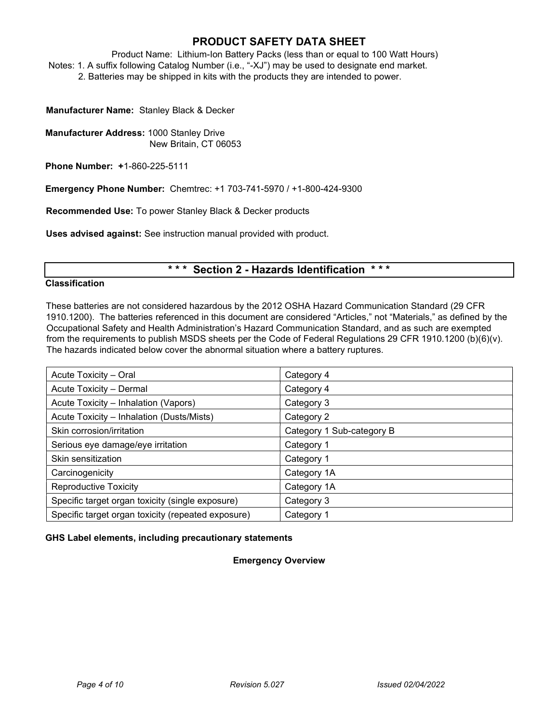Product Name: Lithium-Ion Battery Packs (less than or equal to 100 Watt Hours) Notes: 1. A suffix following Catalog Number (i.e., "-XJ") may be used to designate end market. 2. Batteries may be shipped in kits with the products they are intended to power.

Manufacturer Name: Stanley Black & Decker

Manufacturer Address: 1000 Stanley Drive New Britain, CT 06053

Phone Number: +1-860-225-5111

Emergency Phone Number: Chemtrec: +1 703-741-5970 / +1-800-424-9300

Recommended Use: To power Stanley Black & Decker products

Uses advised against: See instruction manual provided with product.

# \*\*\* Section 2 - Hazards Identification \*\*\*

### **Classification**

These batteries are not considered hazardous by the 2012 OSHA Hazard Communication Standard (29 CFR 1910.1200). The batteries referenced in this document are considered "Articles," not "Materials," as defined by the Occupational Safety and Health Administration's Hazard Communication Standard, and as such are exempted from the requirements to publish MSDS sheets per the Code of Federal Regulations 29 CFR 1910.1200 (b)(6)(v). The hazards indicated below cover the abnormal situation where a battery ruptures.

| Acute Toxicity - Oral                              | Category 4                |  |
|----------------------------------------------------|---------------------------|--|
| Acute Toxicity - Dermal                            | Category 4                |  |
| Acute Toxicity - Inhalation (Vapors)               | Category 3                |  |
| Acute Toxicity - Inhalation (Dusts/Mists)          | Category 2                |  |
| Skin corrosion/irritation                          | Category 1 Sub-category B |  |
| Serious eye damage/eye irritation                  | Category 1                |  |
| Skin sensitization                                 | Category 1                |  |
| Carcinogenicity                                    | Category 1A               |  |
| <b>Reproductive Toxicity</b>                       | Category 1A               |  |
| Specific target organ toxicity (single exposure)   | Category 3                |  |
| Specific target organ toxicity (repeated exposure) | Category 1                |  |

#### GHS Label elements, including precautionary statements

### Emergency Overview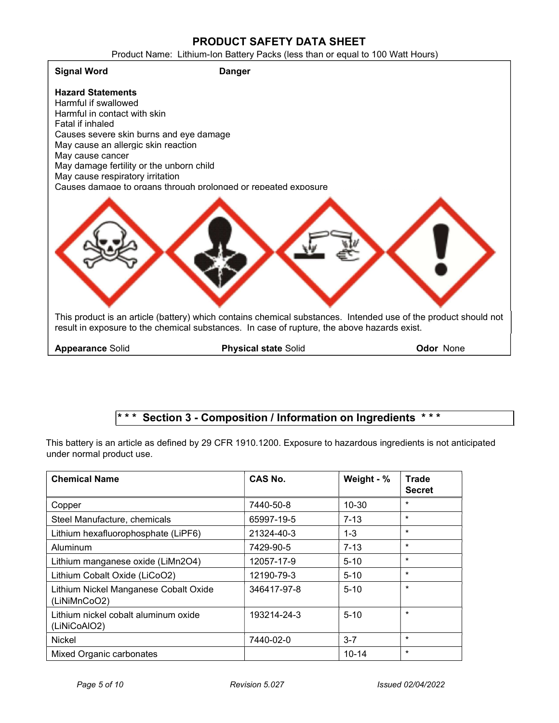Product Name: Lithium-Ion Battery Packs (less than or equal to 100 Watt Hours)



# \*\*\* Section 3 - Composition / Information on Ingredients \*\*\*

This battery is an article as defined by 29 CFR 1910.1200. Exposure to hazardous ingredients is not anticipated under normal product use.

| <b>Chemical Name</b>                                  | <b>CAS No.</b> | Weight - % | <b>Trade</b><br><b>Secret</b> |
|-------------------------------------------------------|----------------|------------|-------------------------------|
| Copper                                                | 7440-50-8      | $10 - 30$  | $\star$                       |
| Steel Manufacture, chemicals                          | 65997-19-5     | $7 - 13$   | $\star$                       |
| Lithium hexafluorophosphate (LiPF6)                   | 21324-40-3     | $1 - 3$    | $\star$                       |
| Aluminum                                              | 7429-90-5      | $7 - 13$   | $\star$                       |
| Lithium manganese oxide (LiMn2O4)                     | 12057-17-9     | $5 - 10$   | $\star$                       |
| Lithium Cobalt Oxide (LiCoO2)                         | 12190-79-3     | $5 - 10$   | $\star$                       |
| Lithium Nickel Manganese Cobalt Oxide<br>(LiNiMnCoO2) | 346417-97-8    | $5 - 10$   | $\star$                       |
| Lithium nickel cobalt aluminum oxide<br>(LiNiCoAIO2)  | 193214-24-3    | $5 - 10$   | $\star$                       |
| Nickel                                                | 7440-02-0      | $3 - 7$    | $\star$                       |
| Mixed Organic carbonates                              |                | $10 - 14$  | $\star$                       |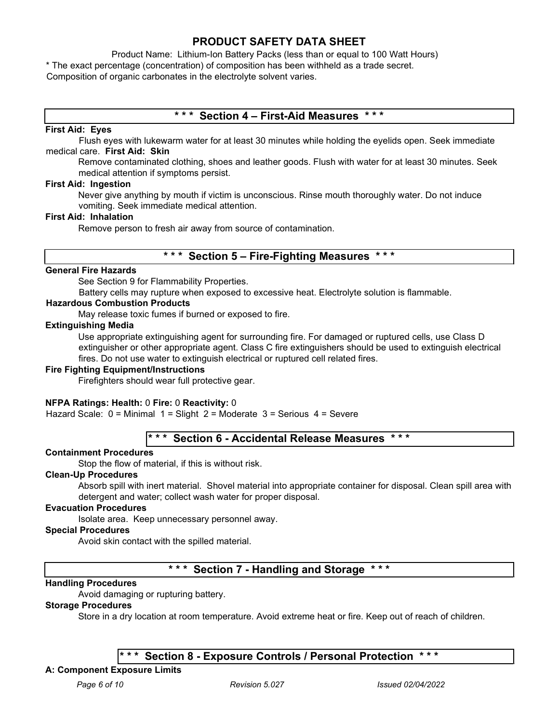Product Name: Lithium-Ion Battery Packs (less than or equal to 100 Watt Hours) \* The exact percentage (concentration) of composition has been withheld as a trade secret. Composition of organic carbonates in the electrolyte solvent varies.

# \*\*\* Section 4 – First-Aid Measures \*\*\*

### First Aid: Eyes

Flush eyes with lukewarm water for at least 30 minutes while holding the eyelids open. Seek immediate medical care. First Aid: Skin

Remove contaminated clothing, shoes and leather goods. Flush with water for at least 30 minutes. Seek medical attention if symptoms persist.

### First Aid: Ingestion

Never give anything by mouth if victim is unconscious. Rinse mouth thoroughly water. Do not induce vomiting. Seek immediate medical attention.

### First Aid: Inhalation

Remove person to fresh air away from source of contamination.

# \*\*\* Section 5 – Fire-Fighting Measures \*\*\*

### General Fire Hazards

See Section 9 for Flammability Properties.

Battery cells may rupture when exposed to excessive heat. Electrolyte solution is flammable.

### Hazardous Combustion Products

May release toxic fumes if burned or exposed to fire.

### Extinguishing Media

Use appropriate extinguishing agent for surrounding fire. For damaged or ruptured cells, use Class D extinguisher or other appropriate agent. Class C fire extinguishers should be used to extinguish electrical fires. Do not use water to extinguish electrical or ruptured cell related fires.

### Fire Fighting Equipment/Instructions

Firefighters should wear full protective gear.

### NFPA Ratings: Health: 0 Fire: 0 Reactivity: 0

Hazard Scale: 0 = Minimal 1 = Slight 2 = Moderate 3 = Serious 4 = Severe

# Section 6 - Accidental Release Measures \*\*\*

### Containment Procedures

Stop the flow of material, if this is without risk.

#### Clean-Up Procedures

Absorb spill with inert material. Shovel material into appropriate container for disposal. Clean spill area with detergent and water; collect wash water for proper disposal.

### Evacuation Procedures

Isolate area. Keep unnecessary personnel away.

#### Special Procedures

Avoid skin contact with the spilled material.

# \* \* \* Section 7 - Handling and Storage \* \* \*

### Handling Procedures

Avoid damaging or rupturing battery.

### Storage Procedures

Store in a dry location at room temperature. Avoid extreme heat or fire. Keep out of reach of children.

# \* \* \* Section 8 - Exposure Controls / Personal Protection

# A: Component Exposure Limits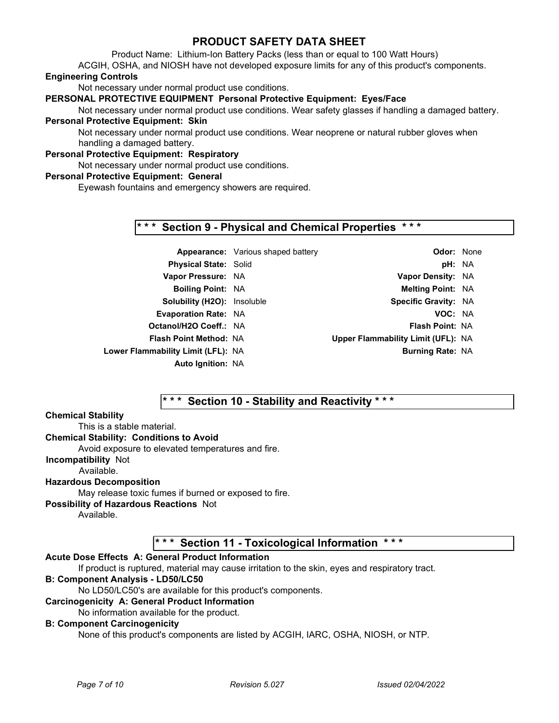Product Name: Lithium-Ion Battery Packs (less than or equal to 100 Watt Hours)

ACGIH, OSHA, and NIOSH have not developed exposure limits for any of this product's components.

# Engineering Controls

Not necessary under normal product use conditions.

### PERSONAL PROTECTIVE EQUIPMENT Personal Protective Equipment: Eyes/Face

Not necessary under normal product use conditions. Wear safety glasses if handling a damaged battery. Personal Protective Equipment: Skin

Not necessary under normal product use conditions. Wear neoprene or natural rubber gloves when handling a damaged battery.

# Personal Protective Equipment: Respiratory

Not necessary under normal product use conditions.

### Personal Protective Equipment: General

Eyewash fountains and emergency showers are required.

# \*\*\* Section 9 - Physical and Chemical Properties \*\*\*

|                                    | <b>Appearance:</b> Various shaped battery | <b>Odor: None</b>                  |  |
|------------------------------------|-------------------------------------------|------------------------------------|--|
| <b>Physical State: Solid</b>       |                                           | pH: NA                             |  |
| Vapor Pressure: NA                 |                                           | Vapor Density: NA                  |  |
| <b>Boiling Point: NA</b>           |                                           | <b>Melting Point: NA</b>           |  |
| <b>Solubility (H2O): Insoluble</b> |                                           | <b>Specific Gravity: NA</b>        |  |
| <b>Evaporation Rate: NA</b>        |                                           | VOC: NA                            |  |
| Octanol/H2O Coeff.: NA             |                                           | <b>Flash Point: NA</b>             |  |
| <b>Flash Point Method: NA</b>      |                                           | Upper Flammability Limit (UFL): NA |  |
| Lower Flammability Limit (LFL): NA |                                           | <b>Burning Rate: NA</b>            |  |
| <b>Auto Ignition: NA</b>           |                                           |                                    |  |

# \*\*\* Section 10 - Stability and Reactivity \*\*\*

### Chemical Stability

This is a stable material. Chemical Stability: Conditions to Avoid Avoid exposure to elevated temperatures and fire. Incompatibility Not Available. Hazardous Decomposition May release toxic fumes if burned or exposed to fire. Possibility of Hazardous Reactions Not

Available.

\* \* \* Section 11 - Toxicological Information \* \* \*

### Acute Dose Effects A: General Product Information

If product is ruptured, material may cause irritation to the skin, eyes and respiratory tract.

### B: Component Analysis - LD50/LC50

No LD50/LC50's are available for this product's components.

### Carcinogenicity A: General Product Information

### No information available for the product.

### B: Component Carcinogenicity

None of this product's components are listed by ACGIH, IARC, OSHA, NIOSH, or NTP.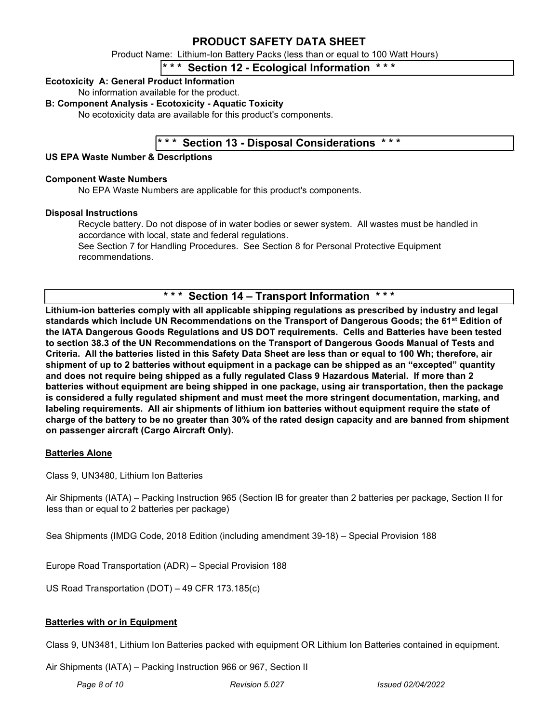Product Name: Lithium-Ion Battery Packs (less than or equal to 100 Watt Hours)

# $* *$  Section 12 - Ecological Information

### Ecotoxicity A: General Product Information

No information available for the product.

### B: Component Analysis - Ecotoxicity - Aquatic Toxicity

No ecotoxicity data are available for this product's components.

# \* \* \* Section 13 - Disposal Considerations \* \* \*

### US EPA Waste Number & Descriptions

### Component Waste Numbers

No EPA Waste Numbers are applicable for this product's components.

### Disposal Instructions

Recycle battery. Do not dispose of in water bodies or sewer system. All wastes must be handled in accordance with local, state and federal regulations.

See Section 7 for Handling Procedures. See Section 8 for Personal Protective Equipment recommendations.

# \* \* \* Section 14 – Transport Information

Lithium-ion batteries comply with all applicable shipping regulations as prescribed by industry and legal standards which include UN Recommendations on the Transport of Dangerous Goods; the 61<sup>st</sup> Edition of the IATA Dangerous Goods Regulations and US DOT requirements. Cells and Batteries have been tested to section 38.3 of the UN Recommendations on the Transport of Dangerous Goods Manual of Tests and Criteria. All the batteries listed in this Safety Data Sheet are less than or equal to 100 Wh; therefore, air shipment of up to 2 batteries without equipment in a package can be shipped as an "excepted" quantity and does not require being shipped as a fully regulated Class 9 Hazardous Material. If more than 2 batteries without equipment are being shipped in one package, using air transportation, then the package is considered a fully regulated shipment and must meet the more stringent documentation, marking, and labeling requirements. All air shipments of lithium ion batteries without equipment require the state of charge of the battery to be no greater than 30% of the rated design capacity and are banned from shipment on passenger aircraft (Cargo Aircraft Only).

### Batteries Alone

Class 9, UN3480, Lithium Ion Batteries

Air Shipments (IATA) – Packing Instruction 965 (Section IB for greater than 2 batteries per package, Section II for less than or equal to 2 batteries per package)

Sea Shipments (IMDG Code, 2018 Edition (including amendment 39-18) – Special Provision 188

Europe Road Transportation (ADR) – Special Provision 188

US Road Transportation (DOT) – 49 CFR 173.185(c)

### Batteries with or in Equipment

Class 9, UN3481, Lithium Ion Batteries packed with equipment OR Lithium Ion Batteries contained in equipment.

Air Shipments (IATA) – Packing Instruction 966 or 967, Section II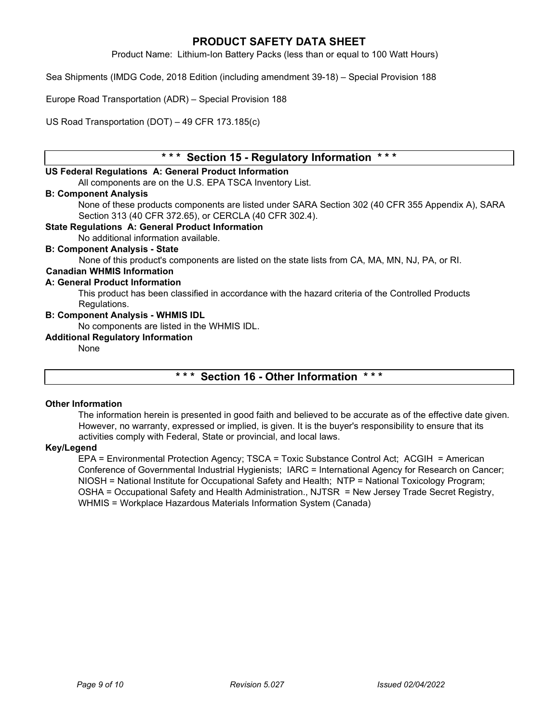Product Name: Lithium-Ion Battery Packs (less than or equal to 100 Watt Hours)

Sea Shipments (IMDG Code, 2018 Edition (including amendment 39-18) – Special Provision 188

Europe Road Transportation (ADR) – Special Provision 188

US Road Transportation (DOT) – 49 CFR 173.185(c)

# \* \* \* Section 15 - Regulatory Information \* \* \*

### US Federal Regulations A: General Product Information

All components are on the U.S. EPA TSCA Inventory List.

### B: Component Analysis

None of these products components are listed under SARA Section 302 (40 CFR 355 Appendix A), SARA Section 313 (40 CFR 372.65), or CERCLA (40 CFR 302.4).

### State Regulations A: General Product Information

No additional information available.

### B: Component Analysis - State

None of this product's components are listed on the state lists from CA, MA, MN, NJ, PA, or RI.

### Canadian WHMIS Information

#### A: General Product Information

This product has been classified in accordance with the hazard criteria of the Controlled Products Regulations.

#### B: Component Analysis - WHMIS IDL

No components are listed in the WHMIS IDL.

#### Additional Regulatory Information

None

# \*\*\* Section 16 - Other Information \*\*\*

### Other Information

The information herein is presented in good faith and believed to be accurate as of the effective date given. However, no warranty, expressed or implied, is given. It is the buyer's responsibility to ensure that its activities comply with Federal, State or provincial, and local laws.

### Key/Legend

EPA = Environmental Protection Agency; TSCA = Toxic Substance Control Act; ACGIH = American Conference of Governmental Industrial Hygienists; IARC = International Agency for Research on Cancer; NIOSH = National Institute for Occupational Safety and Health; NTP = National Toxicology Program; OSHA = Occupational Safety and Health Administration., NJTSR = New Jersey Trade Secret Registry, WHMIS = Workplace Hazardous Materials Information System (Canada)